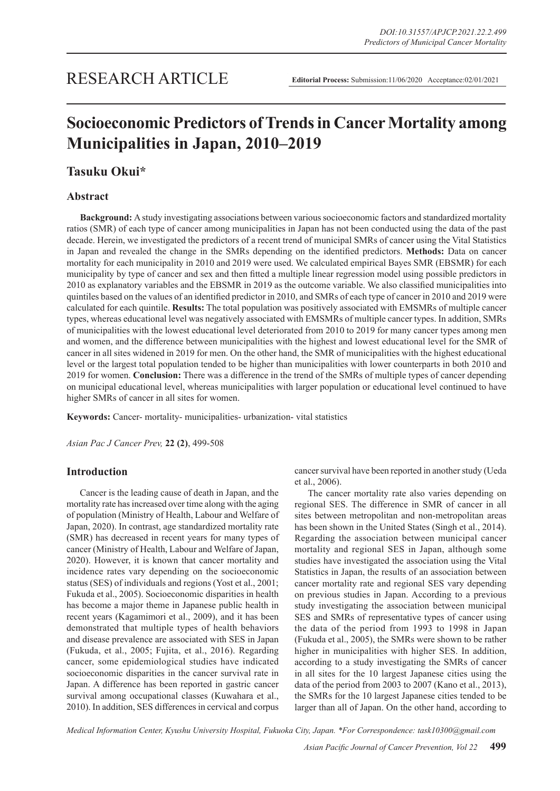## RESEARCH ARTICLE

**Editorial Process:** Submission:11/06/2020 Acceptance:02/01/2021

# **Socioeconomic Predictors of Trends in Cancer Mortality among Municipalities in Japan, 2010–2019**

## **Tasuku Okui\***

## **Abstract**

**Background:** A study investigating associations between various socioeconomic factors and standardized mortality ratios (SMR) of each type of cancer among municipalities in Japan has not been conducted using the data of the past decade. Herein, we investigated the predictors of a recent trend of municipal SMRs of cancer using the Vital Statistics in Japan and revealed the change in the SMRs depending on the identified predictors. **Methods:** Data on cancer mortality for each municipality in 2010 and 2019 were used. We calculated empirical Bayes SMR (EBSMR) for each municipality by type of cancer and sex and then fitted a multiple linear regression model using possible predictors in 2010 as explanatory variables and the EBSMR in 2019 as the outcome variable. We also classified municipalities into quintiles based on the values of an identified predictor in 2010, and SMRs of each type of cancer in 2010 and 2019 were calculated for each quintile. **Results:** The total population was positively associated with EMSMRs of multiple cancer types, whereas educational level was negatively associated with EMSMRs of multiple cancer types. In addition, SMRs of municipalities with the lowest educational level deteriorated from 2010 to 2019 for many cancer types among men and women, and the difference between municipalities with the highest and lowest educational level for the SMR of cancer in all sites widened in 2019 for men. On the other hand, the SMR of municipalities with the highest educational level or the largest total population tended to be higher than municipalities with lower counterparts in both 2010 and 2019 for women. **Conclusion:** There was a difference in the trend of the SMRs of multiple types of cancer depending on municipal educational level, whereas municipalities with larger population or educational level continued to have higher SMRs of cancer in all sites for women.

**Keywords:** Cancer- mortality- municipalities- urbanization- vital statistics

*Asian Pac J Cancer Prev,* **22 (2)**, 499-508

## **Introduction**

Cancer is the leading cause of death in Japan, and the mortality rate has increased over time along with the aging of population (Ministry of Health, Labour and Welfare of Japan, 2020). In contrast, age standardized mortality rate (SMR) has decreased in recent years for many types of cancer (Ministry of Health, Labour and Welfare of Japan, 2020). However, it is known that cancer mortality and incidence rates vary depending on the socioeconomic status (SES) of individuals and regions (Yost et al., 2001; Fukuda et al., 2005). Socioeconomic disparities in health has become a major theme in Japanese public health in recent years (Kagamimori et al., 2009), and it has been demonstrated that multiple types of health behaviors and disease prevalence are associated with SES in Japan (Fukuda, et al., 2005; Fujita, et al., 2016). Regarding cancer, some epidemiological studies have indicated socioeconomic disparities in the cancer survival rate in Japan. A difference has been reported in gastric cancer survival among occupational classes (Kuwahara et al., 2010). In addition, SES differences in cervical and corpus cancer survival have been reported in another study (Ueda et al., 2006).

The cancer mortality rate also varies depending on regional SES. The difference in SMR of cancer in all sites between metropolitan and non-metropolitan areas has been shown in the United States (Singh et al., 2014). Regarding the association between municipal cancer mortality and regional SES in Japan, although some studies have investigated the association using the Vital Statistics in Japan, the results of an association between cancer mortality rate and regional SES vary depending on previous studies in Japan. According to a previous study investigating the association between municipal SES and SMRs of representative types of cancer using the data of the period from 1993 to 1998 in Japan (Fukuda et al., 2005), the SMRs were shown to be rather higher in municipalities with higher SES. In addition, according to a study investigating the SMRs of cancer in all sites for the 10 largest Japanese cities using the data of the period from 2003 to 2007 (Kano et al., 2013), the SMRs for the 10 largest Japanese cities tended to be larger than all of Japan. On the other hand, according to

*Medical Information Center, Kyushu University Hospital, Fukuoka City, Japan. \*For Correspondence: task10300@gmail.com*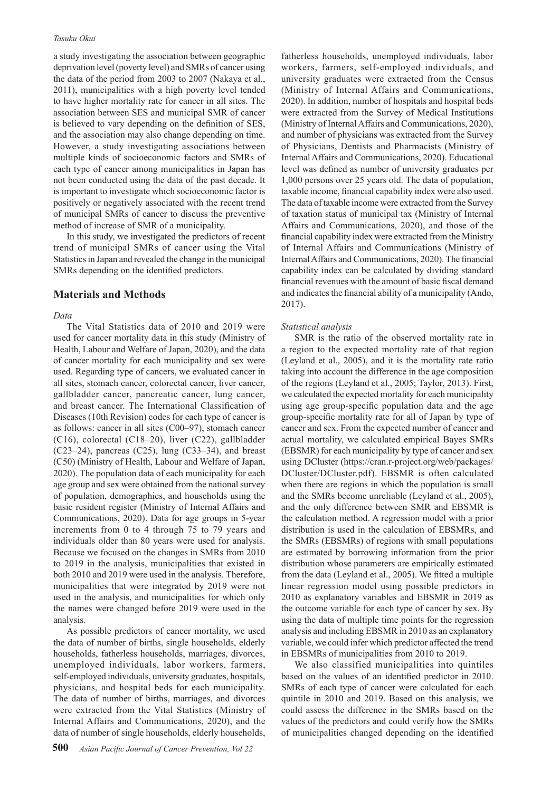#### *Tasuku Okui*

a study investigating the association between geographic deprivation level (poverty level) and SMRs of cancer using the data of the period from 2003 to 2007 (Nakaya et al., 2011), municipalities with a high poverty level tended to have higher mortality rate for cancer in all sites. The association between SES and municipal SMR of cancer is believed to vary depending on the definition of SES, and the association may also change depending on time. However, a study investigating associations between multiple kinds of socioeconomic factors and SMRs of each type of cancer among municipalities in Japan has not been conducted using the data of the past decade. It is important to investigate which socioeconomic factor is positively or negatively associated with the recent trend of municipal SMRs of cancer to discuss the preventive method of increase of SMR of a municipality.

In this study, we investigated the predictors of recent trend of municipal SMRs of cancer using the Vital Statistics in Japan and revealed the change in the municipal SMRs depending on the identified predictors.

#### **Materials and Methods**

#### *Data*

The Vital Statistics data of 2010 and 2019 were used for cancer mortality data in this study (Ministry of Health, Labour and Welfare of Japan, 2020), and the data of cancer mortality for each municipality and sex were used. Regarding type of cancers, we evaluated cancer in all sites, stomach cancer, colorectal cancer, liver cancer, gallbladder cancer, pancreatic cancer, lung cancer, and breast cancer. The International Classification of Diseases (10th Revision) codes for each type of cancer is as follows: cancer in all sites (C00–97), stomach cancer (C16), colorectal (C18–20), liver (C22), gallbladder  $(C23-24)$ , pancreas  $(C25)$ , lung  $(C33-34)$ , and breast (C50) (Ministry of Health, Labour and Welfare of Japan, 2020). The population data of each municipality for each age group and sex were obtained from the national survey of population, demographics, and households using the basic resident register (Ministry of Internal Affairs and Communications, 2020). Data for age groups in 5-year increments from 0 to 4 through 75 to 79 years and individuals older than 80 years were used for analysis. Because we focused on the changes in SMRs from 2010 to 2019 in the analysis, municipalities that existed in both 2010 and 2019 were used in the analysis. Therefore, municipalities that were integrated by 2019 were not used in the analysis, and municipalities for which only the names were changed before 2019 were used in the analysis.

As possible predictors of cancer mortality, we used the data of number of births, single households, elderly households, fatherless households, marriages, divorces, unemployed individuals, labor workers, farmers, self-employed individuals, university graduates, hospitals, physicians, and hospital beds for each municipality. The data of number of births, marriages, and divorces were extracted from the Vital Statistics (Ministry of Internal Affairs and Communications, 2020), and the data of number of single households, elderly households,

fatherless households, unemployed individuals, labor workers, farmers, self-employed individuals, and university graduates were extracted from the Census (Ministry of Internal Affairs and Communications, 2020). In addition, number of hospitals and hospital beds were extracted from the Survey of Medical Institutions (Ministry of Internal Affairs and Communications, 2020), and number of physicians was extracted from the Survey of Physicians, Dentists and Pharmacists (Ministry of Internal Affairs and Communications, 2020). Educational level was defined as number of university graduates per 1,000 persons over 25 years old. The data of population, taxable income, financial capability index were also used. The data of taxable income were extracted from the Survey of taxation status of municipal tax (Ministry of Internal Affairs and Communications, 2020), and those of the financial capability index were extracted from the Ministry of Internal Affairs and Communications (Ministry of Internal Affairs and Communications, 2020). The financial capability index can be calculated by dividing standard financial revenues with the amount of basic fiscal demand and indicates the financial ability of a municipality (Ando, 2017).

#### *Statistical analysis*

SMR is the ratio of the observed mortality rate in a region to the expected mortality rate of that region (Leyland et al., 2005), and it is the mortality rate ratio taking into account the difference in the age composition of the regions (Leyland et al., 2005; Taylor, 2013). First, we calculated the expected mortality for each municipality using age group-specific population data and the age group-specific mortality rate for all of Japan by type of cancer and sex. From the expected number of cancer and actual mortality, we calculated empirical Bayes SMRs (EBSMR) for each municipality by type of cancer and sex using DCluster (https://cran.r-project.org/web/packages/ DCluster/DCluster.pdf). EBSMR is often calculated when there are regions in which the population is small and the SMRs become unreliable (Leyland et al., 2005), and the only difference between SMR and EBSMR is the calculation method. A regression model with a prior distribution is used in the calculation of EBSMRs, and the SMRs (EBSMRs) of regions with small populations are estimated by borrowing information from the prior distribution whose parameters are empirically estimated from the data (Leyland et al., 2005). We fitted a multiple linear regression model using possible predictors in 2010 as explanatory variables and EBSMR in 2019 as the outcome variable for each type of cancer by sex. By using the data of multiple time points for the regression analysis and including EBSMR in 2010 as an explanatory variable, we could infer which predictor affected the trend in EBSMRs of municipalities from 2010 to 2019.

We also classified municipalities into quintiles based on the values of an identified predictor in 2010. SMRs of each type of cancer were calculated for each quintile in 2010 and 2019. Based on this analysis, we could assess the difference in the SMRs based on the values of the predictors and could verify how the SMRs of municipalities changed depending on the identified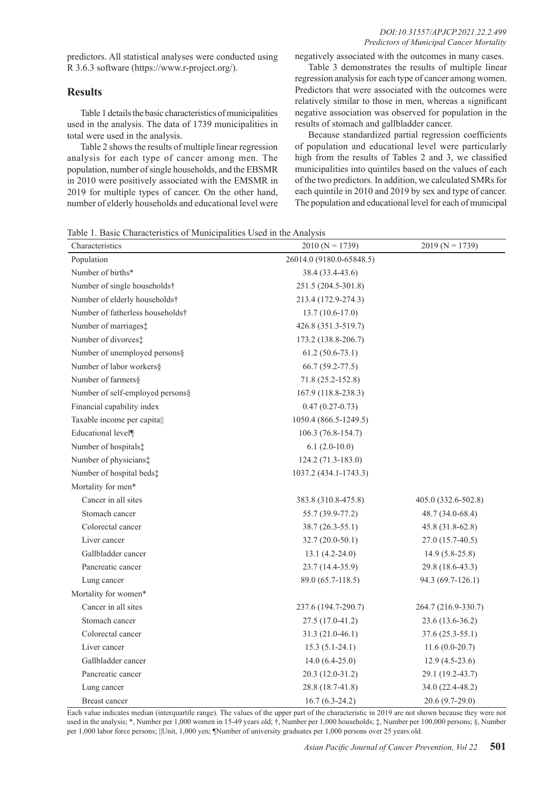predictors. All statistical analyses were conducted using R 3.6.3 software (https://www.r-project.org/).

## **Results**

Table 1 details the basic characteristics of municipalities used in the analysis. The data of 1739 municipalities in total were used in the analysis.

Table 2 shows the results of multiple linear regression analysis for each type of cancer among men. The population, number of single households, and the EBSMR in 2010 were positively associated with the EMSMR in 2019 for multiple types of cancer. On the other hand, number of elderly households and educational level were negatively associated with the outcomes in many cases.

Table 3 demonstrates the results of multiple linear regression analysis for each type of cancer among women. Predictors that were associated with the outcomes were relatively similar to those in men, whereas a significant negative association was observed for population in the results of stomach and gallbladder cancer.

Because standardized partial regression coefficients of population and educational level were particularly high from the results of Tables 2 and 3, we classified municipalities into quintiles based on the values of each of the two predictors. In addition, we calculated SMRs for each quintile in 2010 and 2019 by sex and type of cancer. The population and educational level for each of municipal

Table 1. Basic Characteristics of Municipalities Used in the Analysis

| Characteristics                  | $2010 (N = 1739)$        | $2019 (N = 1739)$   |
|----------------------------------|--------------------------|---------------------|
| Population                       | 26014.0 (9180.0-65848.5) |                     |
| Number of births*                | 38.4 (33.4-43.6)         |                     |
| Number of single households†     | 251.5 (204.5-301.8)      |                     |
| Number of elderly households†    | 213.4 (172.9-274.3)      |                     |
| Number of fatherless households† | $13.7(10.6-17.0)$        |                     |
| Number of marriages:             | 426.8 (351.3-519.7)      |                     |
| Number of divorces:              | 173.2 (138.8-206.7)      |                     |
| Number of unemployed persons§    | $61.2(50.6-73.1)$        |                     |
| Number of labor workers§         | $66.7(59.2-77.5)$        |                     |
| Number of farmers§               | 71.8 (25.2-152.8)        |                     |
| Number of self-employed persons§ | 167.9 (118.8-238.3)      |                     |
| Financial capability index       | $0.47(0.27-0.73)$        |                     |
| Taxable income per capita        | 1050.4 (866.5-1249.5)    |                     |
| Educational level¶               | 106.3 (76.8-154.7)       |                     |
| Number of hospitals:             | $6.1(2.0-10.0)$          |                     |
| Number of physicians:            | 124.2 (71.3-183.0)       |                     |
| Number of hospital beds:         | 1037.2 (434.1-1743.3)    |                     |
| Mortality for men*               |                          |                     |
| Cancer in all sites              | 383.8 (310.8-475.8)      | 405.0 (332.6-502.8) |
| Stomach cancer                   | 55.7 (39.9-77.2)         | 48.7 (34.0-68.4)    |
| Colorectal cancer                | $38.7(26.3-55.1)$        | $45.8(31.8-62.8)$   |
| Liver cancer                     | $32.7(20.0-50.1)$        | 27.0 (15.7-40.5)    |
| Gallbladder cancer               | $13.1 (4.2 - 24.0)$      | $14.9(5.8-25.8)$    |
| Pancreatic cancer                | $23.7(14.4-35.9)$        | 29.8 (18.6-43.3)    |
| Lung cancer                      | 89.0 (65.7-118.5)        | 94.3 (69.7-126.1)   |
| Mortality for women*             |                          |                     |
| Cancer in all sites              | 237.6 (194.7-290.7)      | 264.7 (216.9-330.7) |
| Stomach cancer                   | $27.5(17.0-41.2)$        | 23.6 (13.6-36.2)    |
| Colorectal cancer                | $31.3(21.0-46.1)$        | $37.6(25.3-55.1)$   |
| Liver cancer                     | $15.3(5.1-24.1)$         | $11.6(0.0-20.7)$    |
| Gallbladder cancer               | $14.0(6.4-25.0)$         | $12.9(4.5-23.6)$    |
| Pancreatic cancer                | $20.3(12.0-31.2)$        | 29.1 (19.2-43.7)    |
| Lung cancer                      | 28.8 (18.7-41.8)         | 34.0 (22.4-48.2)    |
| Breast cancer                    | $16.7(6.3-24.2)$         | $20.6(9.7-29.0)$    |

Each value indicates median (interquartile range). The values of the upper part of the characteristic in 2019 are not shown because they were not used in the analysis; \*, Number per 1,000 women in 15-49 years old; †, Number per 1,000 households; ‡, Number per 100,000 persons; §, Number per 1,000 labor force persons; ||Unit, 1,000 yen; ¶Number of university graduates per 1,000 persons over 25 years old.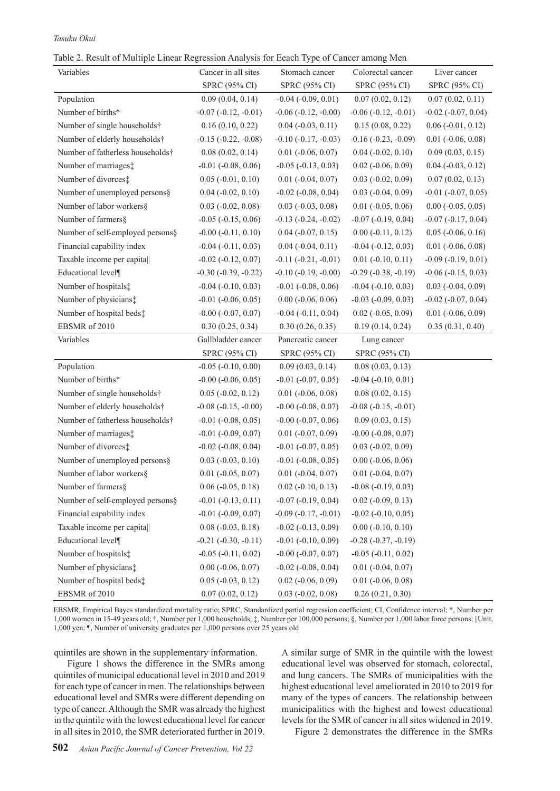#### *Tasuku Okui*

|  |  | Table 2. Result of Multiple Linear Regression Analysis for Eeach Type of Cancer among Men |  |  |  |
|--|--|-------------------------------------------------------------------------------------------|--|--|--|
|  |  |                                                                                           |  |  |  |

| Variables                        | Cancer in all sites         | Stomach cancer              | Colorectal cancer           | Liver cancer                |
|----------------------------------|-----------------------------|-----------------------------|-----------------------------|-----------------------------|
|                                  | SPRC (95% CI)               | SPRC (95% CI)               | SPRC (95% CI)               | SPRC (95% CI)               |
| Population                       | 0.09(0.04, 0.14)            | $-0.04$ $(-0.09, 0.01)$     | 0.07(0.02, 0.12)            | 0.07(0.02, 0.11)            |
| Number of births*                | $-0.07$ $(-0.12, -0.01)$    | $-0.06$ $(-0.12, -0.00)$    | $-0.06$ $(-0.12, -0.01)$    | $-0.02$ $(-0.07, 0.04)$     |
| Number of single households†     | 0.16(0.10, 0.22)            | $0.04 (-0.03, 0.11)$        | 0.15(0.08, 0.22)            | $0.06$ ( $-0.01$ , $0.12$ ) |
| Number of elderly households†    | $-0.15$ $(-0.22, -0.08)$    | $-0.10$ $(-0.17, -0.03)$    | $-0.16$ $(-0.23, -0.09)$    | $0.01$ (-0.06, 0.08)        |
| Number of fatherless households† | 0.08(0.02, 0.14)            | $0.01$ ( $-0.06$ , $0.07$ ) | $0.04 (-0.02, 0.10)$        | 0.09(0.03, 0.15)            |
| Number of marriages:             | $-0.01$ $(-0.08, 0.06)$     | $-0.05$ $(-0.13, 0.03)$     | $0.02$ ( $-0.06$ , $0.09$ ) | $0.04$ ( $-0.03$ , $0.12$ ) |
| Number of divorces:              | $0.05$ ( $-0.01$ , $0.10$ ) | $0.01$ ( $-0.04$ , $0.07$ ) | $0.03$ ( $-0.02$ , $0.09$ ) | 0.07(0.02, 0.13)            |
| Number of unemployed persons§    | $0.04$ ( $-0.02$ , $0.10$ ) | $-0.02$ $(-0.08, 0.04)$     | $0.03$ ( $-0.04$ , $0.09$ ) | $-0.01$ $(-0.07, 0.05)$     |
| Number of labor workers§         | $0.03$ ( $-0.02$ , $0.08$ ) | $0.03$ ( $-0.03$ , $0.08$ ) | $0.01$ (-0.05, 0.06)        | $0.00$ (-0.05, 0.05)        |
| Number of farmers§               | $-0.05$ $(-0.15, 0.06)$     | $-0.13$ $(-0.24, -0.02)$    | $-0.07$ $(-0.19, 0.04)$     | $-0.07$ $(-0.17, 0.04)$     |
| Number of self-employed persons§ | $-0.00$ $(-0.11, 0.10)$     | $0.04 (-0.07, 0.15)$        | $0.00 (-0.11, 0.12)$        | $0.05$ ( $-0.06$ , $0.16$ ) |
| Financial capability index       | $-0.04$ $(-0.11, 0.03)$     | $0.04 (-0.04, 0.11)$        | $-0.04$ $(-0.12, 0.03)$     | $0.01$ ( $-0.06$ , $0.08$ ) |
| Taxable income per capita        | $-0.02$ $(-0.12, 0.07)$     | $-0.11(-0.21, -0.01)$       | $0.01 (-0.10, 0.11)$        | $-0.09$ $(-0.19, 0.01)$     |
| Educational level¶               | $-0.30$ $(-0.39, -0.22)$    | $-0.10$ $(-0.19, -0.00)$    | $-0.29$ $(-0.38, -0.19)$    | $-0.06$ $(-0.15, 0.03)$     |
| Number of hospitals:             | $-0.04$ $(-0.10, 0.03)$     | $-0.01$ $(-0.08, 0.06)$     | $-0.04$ $(-0.10, 0.03)$     | $0.03$ ( $-0.04$ , $0.09$ ) |
| Number of physicians:            | $-0.01$ $(-0.06, 0.05)$     | $0.00$ ( $-0.06$ , $0.06$ ) | $-0.03$ $(-0.09, 0.03)$     | $-0.02$ $(-0.07, 0.04)$     |
| Number of hospital beds:         | $-0.00$ $(-0.07, 0.07)$     | $-0.04$ $(-0.11, 0.04)$     | $0.02$ ( $-0.05$ , $0.09$ ) | $0.01$ (-0.06, 0.09)        |
| EBSMR of 2010                    | 0.30(0.25, 0.34)            | 0.30(0.26, 0.35)            | 0.19(0.14, 0.24)            | 0.35(0.31, 0.40)            |
| Variables                        | Gallbladder cancer          | Pancreatic cancer           | Lung cancer                 |                             |
|                                  | SPRC (95% CI)               | SPRC (95% CI)               | SPRC (95% CI)               |                             |
| Population                       | $-0.05$ $(-0.10, 0.00)$     | 0.09(0.03, 0.14)            | 0.08(0.03, 0.13)            |                             |
| Number of births*                | $-0.00$ $(-0.06, 0.05)$     | $-0.01$ $(-0.07, 0.05)$     | $-0.04$ $(-0.10, 0.01)$     |                             |
| Number of single households†     | $0.05$ ( $-0.02$ , $0.12$ ) | $0.01$ ( $-0.06$ , $0.08$ ) | 0.08(0.02, 0.15)            |                             |
| Number of elderly households†    | $-0.08$ $(-0.15, -0.00)$    | $-0.00$ $(-0.08, 0.07)$     | $-0.08$ $(-0.15, -0.01)$    |                             |
| Number of fatherless households† | $-0.01$ $(-0.08, 0.05)$     | $-0.00$ $(-0.07, 0.06)$     | 0.09(0.03, 0.15)            |                             |
| Number of marriages:             | $-0.01$ $(-0.09, 0.07)$     | $0.01$ ( $-0.07, 0.09$ )    | $-0.00$ $(-0.08, 0.07)$     |                             |
| Number of divorces:              | $-0.02$ $(-0.08, 0.04)$     | $-0.01$ $(-0.07, 0.05)$     | $0.03$ ( $-0.02$ , $0.09$ ) |                             |
| Number of unemployed persons§    | $0.03$ ( $-0.03$ , $0.10$ ) | $-0.01$ $(-0.08, 0.05)$     | $0.00$ ( $-0.06$ , $0.06$ ) |                             |
| Number of labor workers§         | $0.01$ ( $-0.05$ , $0.07$ ) | $0.01$ ( $-0.04$ , $0.07$ ) | $0.01$ ( $-0.04$ , $0.07$ ) |                             |
| Number of farmers§               | $0.06$ ( $-0.05$ , $0.18$ ) | $0.02$ ( $-0.10, 0.13$ )    | $-0.08$ $(-0.19, 0.03)$     |                             |
| Number of self-employed persons§ | $-0.01$ $(-0.13, 0.11)$     | $-0.07$ $(-0.19, 0.04)$     | $0.02$ ( $-0.09$ , $0.13$ ) |                             |
| Financial capability index       | $-0.01$ $(-0.09, 0.07)$     | $-0.09$ $(-0.17, -0.01)$    | $-0.02$ $(-0.10, 0.05)$     |                             |
| Taxable income per capita        | $0.08$ ( $-0.03$ , $0.18$ ) | $-0.02$ $(-0.13, 0.09)$     | $0.00$ ( $-0.10$ , $0.10$ ) |                             |
| Educational level¶               | $-0.21$ $(-0.30, -0.11)$    | $-0.01$ $(-0.10, 0.09)$     | $-0.28$ $(-0.37, -0.19)$    |                             |
| Number of hospitals:             | $-0.05$ $(-0.11, 0.02)$     | $-0.00$ $(-0.07, 0.07)$     | $-0.05$ $(-0.11, 0.02)$     |                             |
| Number of physicians:            | $0.00$ ( $-0.06$ , $0.07$ ) | $-0.02$ $(-0.08, 0.04)$     | $0.01$ ( $-0.04$ , $0.07$ ) |                             |
| Number of hospital beds:         | $0.05$ ( $-0.03$ , $0.12$ ) | $0.02$ ( $-0.06$ , $0.09$ ) | $0.01$ ( $-0.06$ , $0.08$ ) |                             |
| EBSMR of 2010                    | 0.07(0.02, 0.12)            | $0.03$ ( $-0.02$ , $0.08$ ) | 0.26(0.21, 0.30)            |                             |

EBSMR, Empirical Bayes standardized mortality ratio; SPRC, Standardized partial regression coefficient; CI, Confidence interval; \*, Number per 1,000 women in 15-49 years old; †, Number per 1,000 households; ‡, Number per 100,000 persons; §, Number per 1,000 labor force persons; ||Unit, 1,000 yen; ¶, Number of university graduates per 1,000 persons over 25 years old

quintiles are shown in the supplementary information.

Figure 1 shows the difference in the SMRs among quintiles of municipal educational level in 2010 and 2019 for each type of cancer in men. The relationships between educational level and SMRs were different depending on type of cancer. Although the SMR was already the highest in the quintile with the lowest educational level for cancer in all sites in 2010, the SMR deteriorated further in 2019.

A similar surge of SMR in the quintile with the lowest educational level was observed for stomach, colorectal, and lung cancers. The SMRs of municipalities with the highest educational level ameliorated in 2010 to 2019 for many of the types of cancers. The relationship between municipalities with the highest and lowest educational levels for the SMR of cancer in all sites widened in 2019.

Figure 2 demonstrates the difference in the SMRs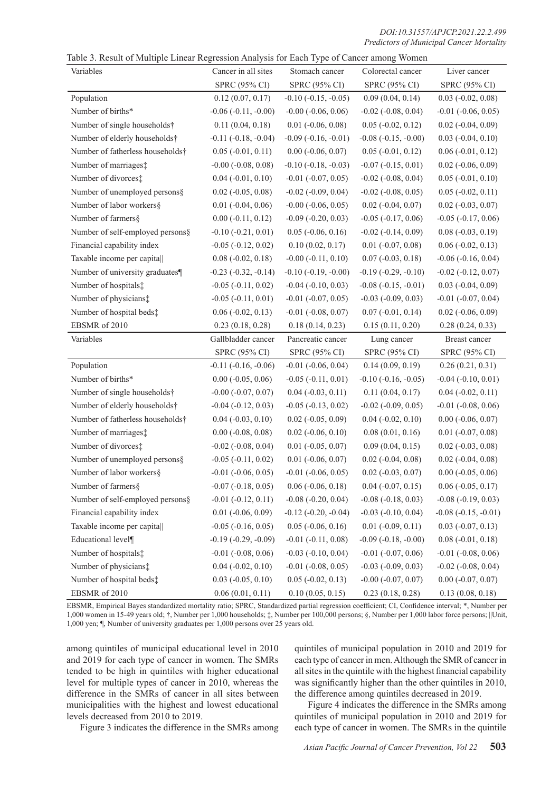*DOI:10.31557/APJCP.2021.22.2.499 Predictors of Municipal Cancer Mortality*

|  |  |  |  | Table 3. Result of Multiple Linear Regression Analysis for Each Type of Cancer among Women |  |
|--|--|--|--|--------------------------------------------------------------------------------------------|--|
|  |  |  |  |                                                                                            |  |

| raone 5. Result of mumple Elliear Regression Amarysis for Each Type of Cancel among women<br>Variables | Cancer in all sites         | Stomach cancer              | Colorectal cancer           | Liver cancer                |
|--------------------------------------------------------------------------------------------------------|-----------------------------|-----------------------------|-----------------------------|-----------------------------|
|                                                                                                        | SPRC (95% CI)               | SPRC (95% CI)               | SPRC (95% CI)               | SPRC (95% CI)               |
| Population                                                                                             | 0.12(0.07, 0.17)            | $-0.10$ $(-0.15, -0.05)$    | 0.09(0.04, 0.14)            | $0.03$ ( $-0.02$ , $0.08$ ) |
| Number of births*                                                                                      | $-0.06$ $(-0.11, -0.00)$    | $-0.00$ $(-0.06, 0.06)$     | $-0.02$ $(-0.08, 0.04)$     | $-0.01$ $(-0.06, 0.05)$     |
| Number of single households†                                                                           | 0.11(0.04, 0.18)            | $0.01$ ( $-0.06$ , $0.08$ ) | $0.05$ ( $-0.02$ , $0.12$ ) | $0.02$ ( $-0.04$ , $0.09$ ) |
| Number of elderly households†                                                                          | $-0.11$ $(-0.18, -0.04)$    | $-0.09$ $(-0.16, -0.01)$    | $-0.08$ $(-0.15, -0.00)$    | $0.03$ ( $-0.04$ , $0.10$ ) |
| Number of fatherless households†                                                                       | $0.05$ ( $-0.01$ , $0.11$ ) | $0.00 (-0.06, 0.07)$        | $0.05$ ( $-0.01$ , $0.12$ ) | $0.06$ ( $-0.01$ , $0.12$ ) |
| Number of marriages:                                                                                   | $-0.00$ $(-0.08, 0.08)$     | $-0.10$ $(-0.18, -0.03)$    | $-0.07$ $(-0.15, 0.01)$     | $0.02$ ( $-0.06$ , $0.09$ ) |
| Number of divorces:                                                                                    | $0.04$ ( $-0.01$ , $0.10$ ) | $-0.01$ $(-0.07, 0.05)$     | $-0.02$ $(-0.08, 0.04)$     | $0.05$ ( $-0.01$ , $0.10$ ) |
| Number of unemployed persons§                                                                          | $0.02$ ( $-0.05$ , $0.08$ ) | $-0.02$ $(-0.09, 0.04)$     | $-0.02$ $(-0.08, 0.05)$     | $0.05$ ( $-0.02$ , $0.11$ ) |
| Number of labor workers§                                                                               | $0.01$ ( $-0.04$ , $0.06$ ) | $-0.00$ $(-0.06, 0.05)$     | $0.02$ ( $-0.04$ , $0.07$ ) | $0.02$ ( $-0.03$ , $0.07$ ) |
| Number of farmers§                                                                                     | $0.00 (-0.11, 0.12)$        | $-0.09$ $(-0.20, 0.03)$     | $-0.05$ $(-0.17, 0.06)$     | $-0.05$ $(-0.17, 0.06)$     |
| Number of self-employed persons§                                                                       | $-0.10$ $(-0.21, 0.01)$     | $0.05$ ( $-0.06$ , $0.16$ ) | $-0.02$ $(-0.14, 0.09)$     | $0.08 (-0.03, 0.19)$        |
| Financial capability index                                                                             | $-0.05$ $(-0.12, 0.02)$     | 0.10(0.02, 0.17)            | $0.01$ ( $-0.07$ , $0.08$ ) | $0.06$ ( $-0.02$ , $0.13$ ) |
| Taxable income per capita                                                                              | $0.08 (-0.02, 0.18)$        | $-0.00$ $(-0.11, 0.10)$     | $0.07 (-0.03, 0.18)$        | $-0.06$ $(-0.16, 0.04)$     |
| Number of university graduates¶                                                                        | $-0.23$ $(-0.32, -0.14)$    | $-0.10$ $(-0.19, -0.00)$    | $-0.19(-0.29, -0.10)$       | $-0.02$ $(-0.12, 0.07)$     |
| Number of hospitals:                                                                                   | $-0.05$ $(-0.11, 0.02)$     | $-0.04$ $(-0.10, 0.03)$     | $-0.08$ $(-0.15, -0.01)$    | $0.03$ ( $-0.04$ , $0.09$ ) |
| Number of physicians:                                                                                  | $-0.05$ $(-0.11, 0.01)$     | $-0.01$ $(-0.07, 0.05)$     | $-0.03$ $(-0.09, 0.03)$     | $-0.01$ $(-0.07, 0.04)$     |
| Number of hospital beds:                                                                               | $0.06$ ( $-0.02$ , $0.13$ ) | $-0.01$ $(-0.08, 0.07)$     | $0.07$ ( $-0.01$ , $0.14$ ) | $0.02$ ( $-0.06$ , $0.09$ ) |
| EBSMR of 2010                                                                                          | 0.23(0.18, 0.28)            | 0.18(0.14, 0.23)            | 0.15(0.11, 0.20)            | 0.28(0.24, 0.33)            |
| Variables                                                                                              | Gallbladder cancer          | Pancreatic cancer           | Lung cancer                 | Breast cancer               |
|                                                                                                        | SPRC (95% CI)               | SPRC (95% CI)               | SPRC (95% CI)               | SPRC (95% CI)               |
| Population                                                                                             | $-0.11$ $(-0.16, -0.06)$    | $-0.01$ $(-0.06, 0.04)$     | 0.14(0.09, 0.19)            | 0.26(0.21, 0.31)            |
| Number of births*                                                                                      | $0.00$ ( $-0.05$ , $0.06$ ) | $-0.05$ $(-0.11, 0.01)$     | $-0.10$ $(-0.16, -0.05)$    | $-0.04$ $(-0.10, 0.01)$     |
| Number of single households†                                                                           | $-0.00$ $(-0.07, 0.07)$     | $0.04$ ( $-0.03$ , $0.11$ ) | 0.11(0.04, 0.17)            | $0.04 (-0.02, 0.11)$        |
| Number of elderly households†                                                                          | $-0.04$ $(-0.12, 0.03)$     | $-0.05$ $(-0.13, 0.02)$     | $-0.02$ $(-0.09, 0.05)$     | $-0.01$ $(-0.08, 0.06)$     |
| Number of fatherless households†                                                                       | $0.04 (-0.03, 0.10)$        | $0.02$ ( $-0.05$ , $0.09$ ) | $0.04 (-0.02, 0.10)$        | $0.00$ ( $-0.06$ , $0.07$ ) |
| Number of marriages:                                                                                   | $0.00$ ( $-0.08$ , $0.08$ ) | $0.02$ ( $-0.06$ , $0.10$ ) | 0.08(0.01, 0.16)            | $0.01$ ( $-0.07, 0.08$ )    |
| Number of divorces;                                                                                    | $-0.02$ $(-0.08, 0.04)$     | $0.01 (-0.05, 0.07)$        | 0.09(0.04, 0.15)            | $0.02$ ( $-0.03$ , $0.08$ ) |
| Number of unemployed persons§                                                                          | $-0.05$ $(-0.11, 0.02)$     | $0.01$ ( $-0.06$ , $0.07$ ) | $0.02$ (-0.04, 0.08)        | $0.02$ ( $-0.04$ , $0.08$ ) |
| Number of labor workers§                                                                               | $-0.01$ $(-0.06, 0.05)$     | $-0.01$ $(-0.06, 0.05)$     | $0.02$ ( $-0.03$ , $0.07$ ) | $0.00$ ( $-0.05$ , $0.06$ ) |
| Number of farmers§                                                                                     | $-0.07$ $(-0.18, 0.05)$     | $0.06$ ( $-0.06$ , $0.18$ ) | $0.04$ ( $-0.07$ , $0.15$ ) | $0.06$ ( $-0.05$ , $0.17$ ) |
| Number of self-employed persons§                                                                       | $-0.01$ $(-0.12, 0.11)$     | $-0.08$ $(-0.20, 0.04)$     | $-0.08$ $(-0.18, 0.03)$     | $-0.08$ $(-0.19, 0.03)$     |
| Financial capability index                                                                             | $0.01$ ( $-0.06$ , $0.09$ ) | $-0.12$ $(-0.20, -0.04)$    | $-0.03$ $(-0.10, 0.04)$     | $-0.08$ $(-0.15, -0.01)$    |
| Taxable income per capita                                                                              | $-0.05$ $(-0.16, 0.05)$     | $0.05$ ( $-0.06$ , $0.16$ ) | $0.01$ ( $-0.09$ , $0.11$ ) | $0.03$ ( $-0.07$ , $0.13$ ) |
|                                                                                                        |                             |                             |                             |                             |
| Educational level¶                                                                                     | $-0.19$ $(-0.29, -0.09)$    | $-0.01$ $(-0.11, 0.08)$     | $-0.09$ $(-0.18, -0.00)$    | $0.08$ ( $-0.01$ , $0.18$ ) |
| Number of hospitals:                                                                                   | $-0.01$ $(-0.08, 0.06)$     | $-0.03$ $(-0.10, 0.04)$     | $-0.01$ $(-0.07, 0.06)$     | $-0.01$ $(-0.08, 0.06)$     |
| Number of physicians:                                                                                  | $0.04$ ( $-0.02$ , $0.10$ ) | $-0.01$ $(-0.08, 0.05)$     | $-0.03$ $(-0.09, 0.03)$     | $-0.02$ $(-0.08, 0.04)$     |
| Number of hospital beds:                                                                               | $0.03$ ( $-0.05$ , $0.10$ ) | $0.05$ ( $-0.02$ , $0.13$ ) | $-0.00$ $(-0.07, 0.07)$     | $0.00$ (-0.07, 0.07)        |

EBSMR, Empirical Bayes standardized mortality ratio; SPRC, Standardized partial regression coefficient; CI, Confidence interval; \*, Number per 1,000 women in 15-49 years old; †, Number per 1,000 households; ‡, Number per 100,000 persons; §, Number per 1,000 labor force persons; ||Unit, 1,000 yen; ¶, Number of university graduates per 1,000 persons over 25 years old.

among quintiles of municipal educational level in 2010 and 2019 for each type of cancer in women. The SMRs tended to be high in quintiles with higher educational level for multiple types of cancer in 2010, whereas the difference in the SMRs of cancer in all sites between municipalities with the highest and lowest educational levels decreased from 2010 to 2019.

quintiles of municipal population in 2010 and 2019 for each type of cancer in men. Although the SMR of cancer in all sites in the quintile with the highest financial capability was significantly higher than the other quintiles in 2010, the difference among quintiles decreased in 2019.

Figure 3 indicates the difference in the SMRs among

Figure 4 indicates the difference in the SMRs among quintiles of municipal population in 2010 and 2019 for each type of cancer in women. The SMRs in the quintile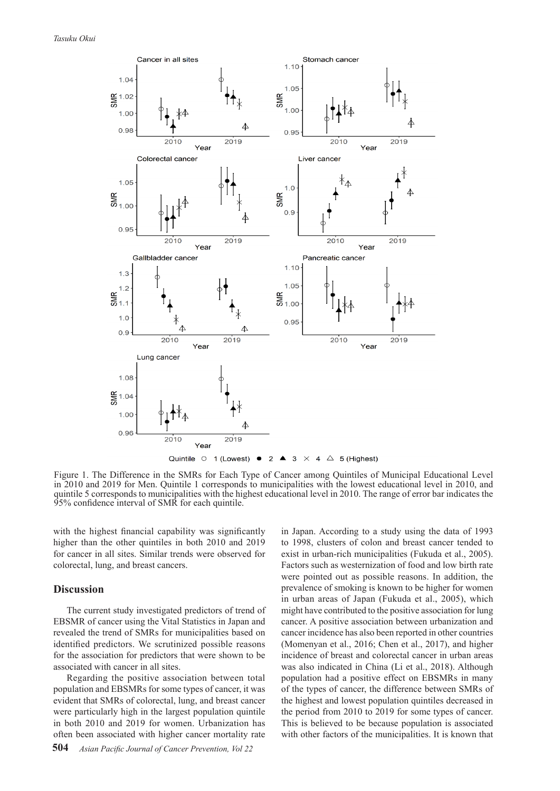

Figure 1. The Difference in the SMRs for Each Type of Cancer among Quintiles of Municipal Educational Level in 2010 and 2019 for Men. Quintile 1 corresponds to municipalities with the lowest educational level in 2010, and quintile 5 corresponds to municipalities with the highest educational level in 2010. The range of error bar indicates the 95% confidence interval of SMR for each quintile.

with the highest financial capability was significantly higher than the other quintiles in both 2010 and 2019 for cancer in all sites. Similar trends were observed for colorectal, lung, and breast cancers.

#### **Discussion**

The current study investigated predictors of trend of EBSMR of cancer using the Vital Statistics in Japan and revealed the trend of SMRs for municipalities based on identified predictors. We scrutinized possible reasons for the association for predictors that were shown to be associated with cancer in all sites.

Regarding the positive association between total population and EBSMRs for some types of cancer, it was evident that SMRs of colorectal, lung, and breast cancer were particularly high in the largest population quintile in both 2010 and 2019 for women. Urbanization has often been associated with higher cancer mortality rate

in Japan. According to a study using the data of 1993 to 1998, clusters of colon and breast cancer tended to exist in urban-rich municipalities (Fukuda et al., 2005). Factors such as westernization of food and low birth rate were pointed out as possible reasons. In addition, the prevalence of smoking is known to be higher for women in urban areas of Japan (Fukuda et al., 2005), which might have contributed to the positive association for lung cancer. A positive association between urbanization and cancer incidence has also been reported in other countries (Momenyan et al., 2016; Chen et al., 2017), and higher incidence of breast and colorectal cancer in urban areas was also indicated in China (Li et al., 2018). Although population had a positive effect on EBSMRs in many of the types of cancer, the difference between SMRs of the highest and lowest population quintiles decreased in the period from 2010 to 2019 for some types of cancer. This is believed to be because population is associated with other factors of the municipalities. It is known that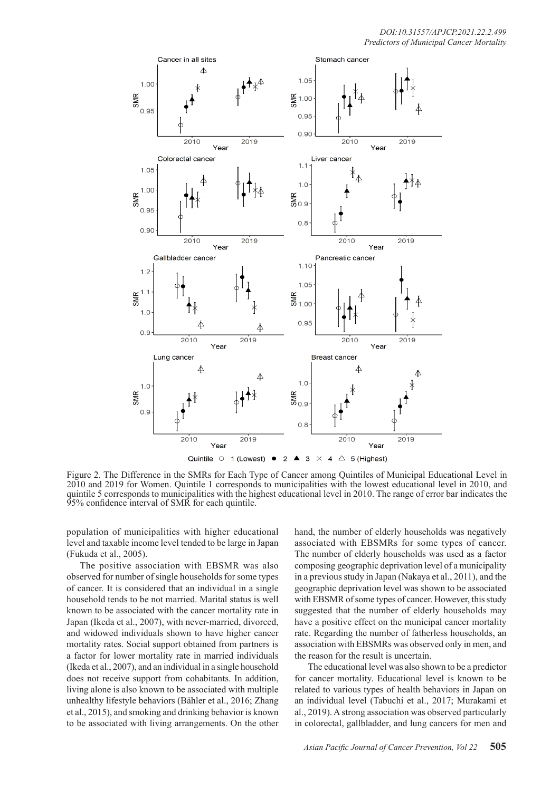

Figure 2. The Difference in the SMRs for Each Type of Cancer among Quintiles of Municipal Educational Level in 2010 and 2019 for Women. Quintile 1 corresponds to municipalities with the lowest educational level in 2010, and quintile 5 corresponds to municipalities with the highest educational level in 2010. The range of error bar indicates the 95% confidence interval of SMR for each quintile.

population of municipalities with higher educational level and taxable income level tended to be large in Japan (Fukuda et al., 2005).

The positive association with EBSMR was also observed for number of single households for some types of cancer. It is considered that an individual in a single household tends to be not married. Marital status is well known to be associated with the cancer mortality rate in Japan (Ikeda et al., 2007), with never-married, divorced, and widowed individuals shown to have higher cancer mortality rates. Social support obtained from partners is a factor for lower mortality rate in married individuals (Ikeda et al., 2007), and an individual in a single household does not receive support from cohabitants. In addition, living alone is also known to be associated with multiple unhealthy lifestyle behaviors (Bähler et al., 2016; Zhang et al., 2015), and smoking and drinking behavior is known to be associated with living arrangements. On the other

hand, the number of elderly households was negatively associated with EBSMRs for some types of cancer. The number of elderly households was used as a factor composing geographic deprivation level of a municipality in a previous study in Japan (Nakaya et al., 2011), and the geographic deprivation level was shown to be associated with EBSMR of some types of cancer. However, this study suggested that the number of elderly households may have a positive effect on the municipal cancer mortality rate. Regarding the number of fatherless households, an association with EBSMRs was observed only in men, and the reason for the result is uncertain.

The educational level was also shown to be a predictor for cancer mortality. Educational level is known to be related to various types of health behaviors in Japan on an individual level (Tabuchi et al., 2017; Murakami et al., 2019). A strong association was observed particularly in colorectal, gallbladder, and lung cancers for men and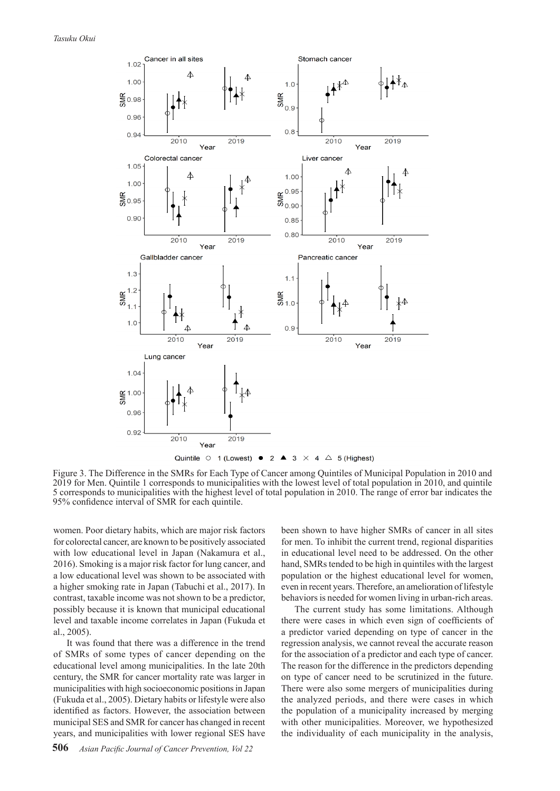

Figure 3. The Difference in the SMRs for Each Type of Cancer among Quintiles of Municipal Population in 2010 and 2019 for Men. Quintile 1 corresponds to municipalities with the lowest level of total population in 2010, and quintile 5 corresponds to municipalities with the highest level of total population in 2010. The range of error bar indicates the 95% confidence interval of SMR for each quintile.

women. Poor dietary habits, which are major risk factors for colorectal cancer, are known to be positively associated with low educational level in Japan (Nakamura et al., 2016). Smoking is a major risk factor for lung cancer, and a low educational level was shown to be associated with a higher smoking rate in Japan (Tabuchi et al., 2017). In contrast, taxable income was not shown to be a predictor, possibly because it is known that municipal educational level and taxable income correlates in Japan (Fukuda et al., 2005).

It was found that there was a difference in the trend of SMRs of some types of cancer depending on the educational level among municipalities. In the late 20th century, the SMR for cancer mortality rate was larger in municipalities with high socioeconomic positions in Japan (Fukuda et al., 2005). Dietary habits or lifestyle were also identified as factors. However, the association between municipal SES and SMR for cancer has changed in recent years, and municipalities with lower regional SES have been shown to have higher SMRs of cancer in all sites for men. To inhibit the current trend, regional disparities in educational level need to be addressed. On the other hand, SMRs tended to be high in quintiles with the largest population or the highest educational level for women, even in recent years. Therefore, an amelioration of lifestyle behaviors is needed for women living in urban-rich areas.

The current study has some limitations. Although there were cases in which even sign of coefficients of a predictor varied depending on type of cancer in the regression analysis, we cannot reveal the accurate reason for the association of a predictor and each type of cancer. The reason for the difference in the predictors depending on type of cancer need to be scrutinized in the future. There were also some mergers of municipalities during the analyzed periods, and there were cases in which the population of a municipality increased by merging with other municipalities. Moreover, we hypothesized the individuality of each municipality in the analysis,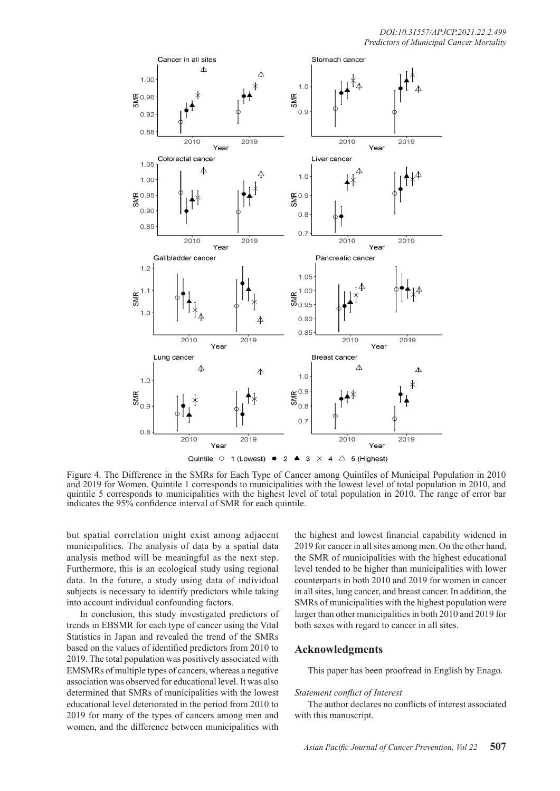

Figure 4. The Difference in the SMRs for Each Type of Cancer among Quintiles of Municipal Population in 2010 and 2019 for Women. Quintile 1 corresponds to municipalities with the lowest level of total population in 2010, and quintile 5 corresponds to municipalities with the highest level of total population in 2010. The range of error bar indicates the 95% confidence interval of SMR for each quintile.

but spatial correlation might exist among adjacent municipalities. The analysis of data by a spatial data analysis method will be meaningful as the next step. Furthermore, this is an ecological study using regional data. In the future, a study using data of individual subjects is necessary to identify predictors while taking into account individual confounding factors.

In conclusion, this study investigated predictors of trends in EBSMR for each type of cancer using the Vital Statistics in Japan and revealed the trend of the SMRs based on the values of identified predictors from 2010 to 2019. The total population was positively associated with EMSMRs of multiple types of cancers, whereas a negative association was observed for educational level. It was also determined that SMRs of municipalities with the lowest educational level deteriorated in the period from 2010 to 2019 for many of the types of cancers among men and women, and the difference between municipalities with

the highest and lowest financial capability widened in 2019 for cancer in all sites among men. On the other hand, the SMR of municipalities with the highest educational level tended to be higher than municipalities with lower counterparts in both 2010 and 2019 for women in cancer in all sites, lung cancer, and breast cancer. In addition, the SMRs of municipalities with the highest population were larger than other municipalities in both 2010 and 2019 for both sexes with regard to cancer in all sites.

## **Acknowledgments**

This paper has been proofread in English by Enago.

#### *Statement conflict of Interest*

The author declares no conflicts of interest associated with this manuscript.